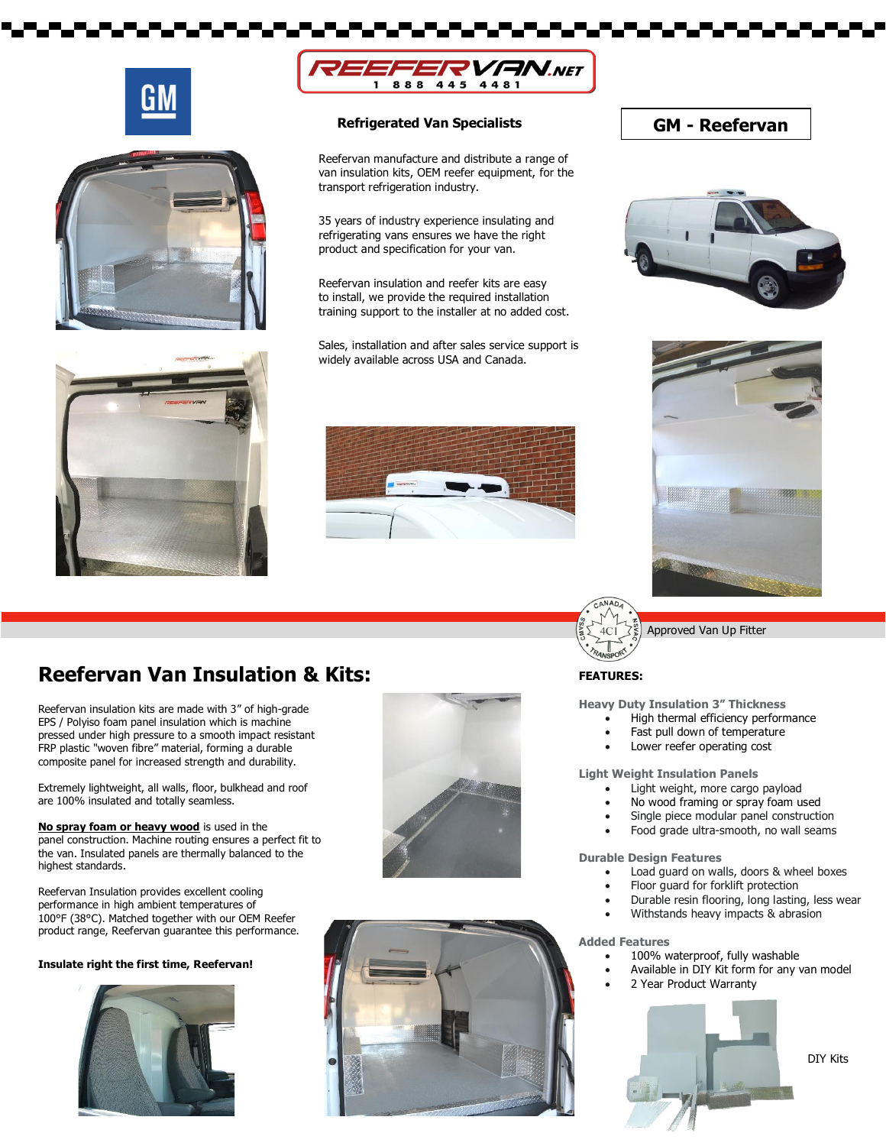







#### **Refrigerated Van Specialists**

Reefervan manufacture and distribute a range of van insulation kits, OEM reefer equipment, for the transport refrigeration industry.

35 years of industry experience insulating and refrigerating vans ensures we have the right product and specification for your van.

Reefervan insulation and reefer kits are easy to install, we provide the required installation training support to the installer at no added cost.

Sales, installation and after sales service support is widely available across USA and Canada.



### **GM - Reefervan**







Approved Van Up Fitter

### **Reefervan Van Insulation & Kits: FEATURES:** FEATURES:

Reefervan insulation kits are made with 3" of high-grade EPS / Polyiso foam panel insulation which is machine pressed under high pressure to a smooth impact resistant FRP plastic "woven fibre" material, forming a durable composite panel for increased strength and durability.

Extremely lightweight, all walls, floor, bulkhead and roof are 100% insulated and totally seamless.

**No spray foam or heavy wood** is used in the panel construction. Machine routing ensures a perfect fit to the van. Insulated panels are thermally balanced to the highest standards.

Reefervan Insulation provides excellent cooling performance in high ambient temperatures of 100°F (38°C). Matched together with our OEM Reefer product range, Reefervan guarantee this performance.

#### **Insulate right the first time, Reefervan!**







**Heavy Duty Insulation 3" Thickness**

- High thermal efficiency performance
- Fast pull down of temperature
- Lower reefer operating cost

**Light Weight Insulation Panels**

- Light weight, more cargo payload
- No wood framing or spray foam used
- Single piece modular panel construction
- Food grade ultra-smooth, no wall seams

**Durable Design Features**

- Load guard on walls, doors & wheel boxes
- Floor guard for forklift protection
- Durable resin flooring, long lasting, less wear
- Withstands heavy impacts & abrasion

#### **Added Features**

- 100% waterproof, fully washable
	- Available in DIY Kit form for any van model
- 2 Year Product Warranty



DIY Kits